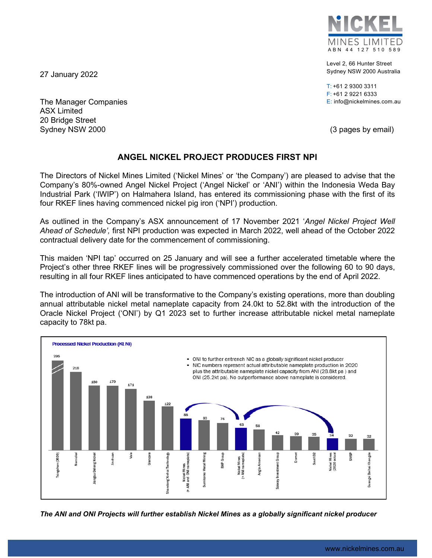MINES LIMITED ABN 44 127 510 589

Level 2, 66 Hunter Street Sydney NSW 2000 Australia

T: +61 2 9300 3311 F: +61 2 9221 6333 E: info@nickelmines.com.au

27 January 2022

The Manager Companies ASX Limited 20 Bridge Street Sydney NSW 2000 (3 pages by email)

## **ANGEL NICKEL PROJECT PRODUCES FIRST NPI**

The Directors of Nickel Mines Limited ('Nickel Mines' or 'the Company') are pleased to advise that the Company's 80%-owned Angel Nickel Project ('Angel Nickel' or 'ANI') within the Indonesia Weda Bay Industrial Park ('IWIP') on Halmahera Island, has entered its commissioning phase with the first of its four RKEF lines having commenced nickel pig iron ('NPI') production.

As outlined in the Company's ASX announcement of 17 November 2021 '*Angel Nickel Project Well Ahead of Schedule',* first NPI production was expected in March 2022, well ahead of the October 2022 contractual delivery date for the commencement of commissioning.

This maiden 'NPI tap' occurred on 25 January and will see a further accelerated timetable where the Project's other three RKEF lines will be progressively commissioned over the following 60 to 90 days, resulting in all four RKEF lines anticipated to have commenced operations by the end of April 2022.

The introduction of ANI will be transformative to the Company's existing operations, more than doubling annual attributable nickel metal nameplate capacity from 24.0kt to 52.8kt with the introduction of the Oracle Nickel Project ('ONI') by Q1 2023 set to further increase attributable nickel metal nameplate capacity to 78kt pa.



*The ANI and ONI Projects will further establish Nickel Mines as a globally significant nickel producer*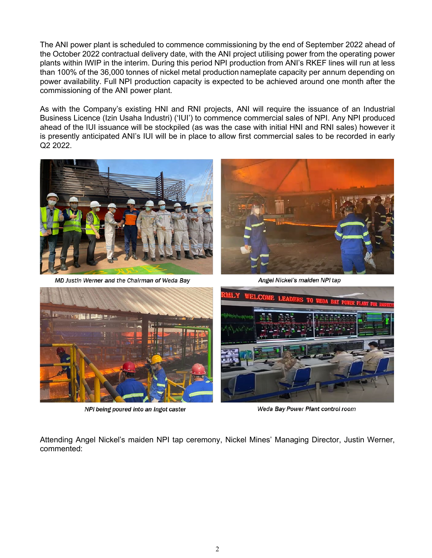The ANI power plant is scheduled to commence commissioning by the end of September 2022 ahead of the October 2022 contractual delivery date, with the ANI project utilising power from the operating power plants within IWIP in the interim. During this period NPI production from ANI's RKEF lines will run at less than 100% of the 36,000 tonnes of nickel metal production nameplate capacity per annum depending on power availability. Full NPI production capacity is expected to be achieved around one month after the commissioning of the ANI power plant.

As with the Company's existing HNI and RNI projects, ANI will require the issuance of an Industrial Business Licence (Izin Usaha Industri) ('IUI') to commence commercial sales of NPI. Any NPI produced ahead of the IUI issuance will be stockpiled (as was the case with initial HNI and RNI sales) however it is presently anticipated ANI's IUI will be in place to allow first commercial sales to be recorded in early Q2 2022.



MD Justin Werner and the Chairman of Weda Bay



Angel Nickel's maiden NPI tap



NPI being poured into an Ingot caster



Weda Bay Power Plant control room

Attending Angel Nickel's maiden NPI tap ceremony, Nickel Mines' Managing Director, Justin Werner, commented: